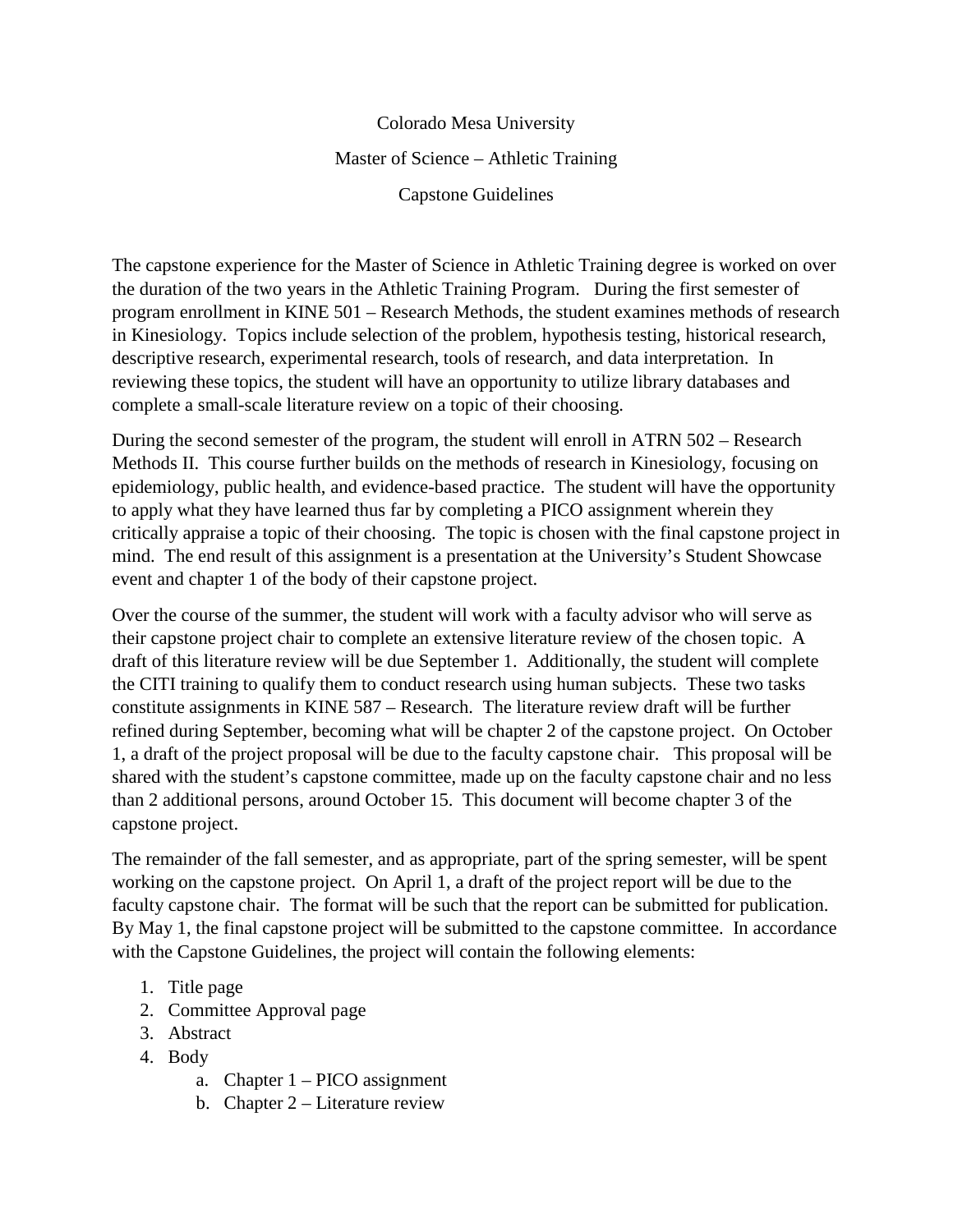Colorado Mesa University Master of Science – Athletic Training Capstone Guidelines

The capstone experience for the Master of Science in Athletic Training degree is worked on over the duration of the two years in the Athletic Training Program. During the first semester of program enrollment in KINE 501 – Research Methods, the student examines methods of research in Kinesiology. Topics include selection of the problem, hypothesis testing, historical research, descriptive research, experimental research, tools of research, and data interpretation. In reviewing these topics, the student will have an opportunity to utilize library databases and complete a small-scale literature review on a topic of their choosing.

During the second semester of the program, the student will enroll in ATRN 502 – Research Methods II. This course further builds on the methods of research in Kinesiology, focusing on epidemiology, public health, and evidence-based practice. The student will have the opportunity to apply what they have learned thus far by completing a PICO assignment wherein they critically appraise a topic of their choosing. The topic is chosen with the final capstone project in mind. The end result of this assignment is a presentation at the University's Student Showcase event and chapter 1 of the body of their capstone project.

Over the course of the summer, the student will work with a faculty advisor who will serve as their capstone project chair to complete an extensive literature review of the chosen topic. A draft of this literature review will be due September 1. Additionally, the student will complete the CITI training to qualify them to conduct research using human subjects. These two tasks constitute assignments in KINE 587 – Research. The literature review draft will be further refined during September, becoming what will be chapter 2 of the capstone project. On October 1, a draft of the project proposal will be due to the faculty capstone chair. This proposal will be shared with the student's capstone committee, made up on the faculty capstone chair and no less than 2 additional persons, around October 15. This document will become chapter 3 of the capstone project.

The remainder of the fall semester, and as appropriate, part of the spring semester, will be spent working on the capstone project. On April 1, a draft of the project report will be due to the faculty capstone chair. The format will be such that the report can be submitted for publication. By May 1, the final capstone project will be submitted to the capstone committee. In accordance with the Capstone Guidelines, the project will contain the following elements:

- 1. Title page
- 2. Committee Approval page
- 3. Abstract
- 4. Body
	- a. Chapter 1 PICO assignment
	- b. Chapter 2 Literature review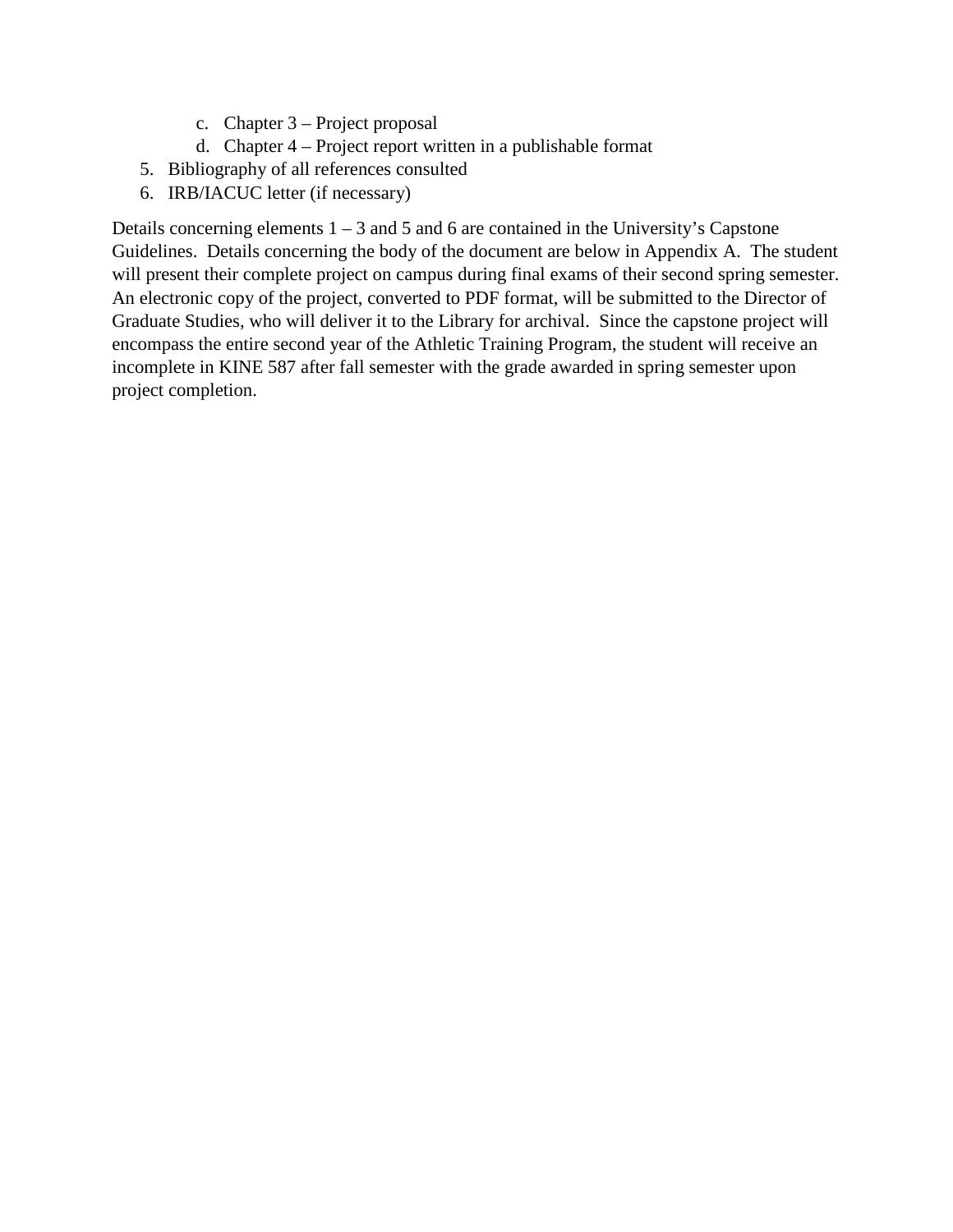- c. Chapter 3 Project proposal
- d. Chapter 4 Project report written in a publishable format
- 5. Bibliography of all references consulted
- 6. IRB/IACUC letter (if necessary)

Details concerning elements  $1 - 3$  and  $5$  and  $6$  are contained in the University's Capstone Guidelines. Details concerning the body of the document are below in Appendix A. The student will present their complete project on campus during final exams of their second spring semester. An electronic copy of the project, converted to PDF format, will be submitted to the Director of Graduate Studies, who will deliver it to the Library for archival. Since the capstone project will encompass the entire second year of the Athletic Training Program, the student will receive an incomplete in KINE 587 after fall semester with the grade awarded in spring semester upon project completion.